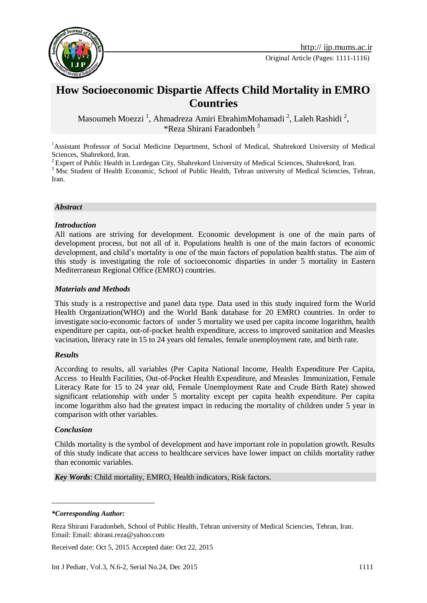

# **How Socioeconomic Dispartie Affects Child Mortality in EMRO Countries**

Masoumeh Moezzi<sup>1</sup>, Ahmadreza Amiri EbrahimMohamadi<sup>2</sup>, Laleh Rashidi<sup>2</sup>, \*Reza Shirani Faradonbeh <sup>31</sup>

<sup>1</sup>Assistant Professor of Social Medicine Department, School of Medical, Shahrekord University of Medical Sciences, Shahrekord, Iran.

<sup>2</sup> Expert of Public Health in Lordegan City, Shahrekord University of Medical Sciences, Shahrekord, Iran.

<sup>3</sup> Msc Student of Health Economic, School of Public Health, Tehran university of Medical Sciencies, Tehran, Iran.

#### *Abstract*

### *Introduction*

All nations are striving for development. Economic development is one of the main parts of development process, but not all of it. Populations health is one of the main factors of economic development, and child's mortality is one of the main factors of population health status. The aim of this study is investigating the role of socioeconomic disparties in under 5 mortality in Eastern Mediterranean Regional Office (EMRO) countries.

### *Materials and Methods*

This study is a restropective and panel data type. Data used in this study inquired form the World Health Organization(WHO) and the World Bank database for 20 EMRO countries. In order to investigate socio-economic factors of under 5 mortality we used per capita income logarithm, health expenditure per capita, out-of-pocket health expenditure, access to improved sanitation and Measles vacination, literacy rate in 15 to 24 years old females, female unemployment rate, and birth rate.

#### *Results*

According to results, all variables (Per Capita National Income, Health Expenditure Per Capita, Access to Health Facilities, Out-of-Pocket Health Expenditure, and Measles Immunization, Female Literacy Rate for 15 to 24 year old, Female Unemployment Rate and Crude Birth Rate) showed significant relationship with under 5 mortality except per capita health expenditure. Per capita income logarithm also had the greatest impact in reducing the mortality of children under 5 year in comparison with other variables.

#### *Conclusion*

-

Childs mortality is the symbol of development and have important role in population growth. Results of this study indicate that access to healthcare services have lower impact on childs mortality rather than economic variables.

*Key Words*: Child mortality, EMRO, Health indicators, Risk factors.

#### *\*Corresponding Author:*

Received date: Oct 5, 2015 Accepted date: Oct 22, 2015

Reza Shirani Faradonbeh, School of Public Health, Tehran university of Medical Sciencies, Tehran, Iran. Email: Email[: shirani.reza@yahoo.com](mailto:shirani.reza@yahoo.com)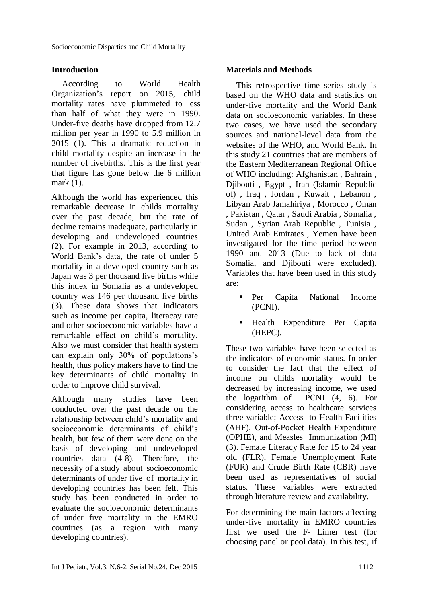# **Introduction**

 According to World Health Organization's report on 2015, child mortality rates have plummeted to less than half of what they were in 1990. Under-five deaths have dropped from 12.7 million per year in 1990 to 5.9 million in 2015 (1). This a dramatic reduction in child mortality despite an increase in the number of livebirths. This is the first year that figure has gone below the 6 million mark (1).

Although the world has experienced this remarkable decrease in childs mortality over the past decade, but the rate of decline remains inadequate, particularly in developing and undeveloped countries (2). For example in 2013, according to World Bank's data, the rate of under 5 mortality in a developed country such as Japan was 3 per thousand live births while this index in Somalia as a undeveloped country was 146 per thousand live births (3). These data shows that indicators such as income per capita, literacay rate and other socioeconomic variables have a remarkable effect on child's mortality. Also we must consider that health system can explain only 30% of populations's health, thus policy makers have to find the key determinants of child mortality in order to improve child survival.

Although many studies have been conducted over the past decade on the relationship between child's mortality and socioeconomic determinants of child's health, but few of them were done on the basis of developing and undeveloped countries data (4-8). Therefore, the necessity of a study about socioeconomic determinants of under five of mortality in developing countries has been felt. This study has been conducted in order to evaluate the socioeconomic determinants of under five mortality in the EMRO countries (as a region with many developing countries).

# **Materials and Methods**

This retrospective time series study is based on the WHO data and statistics on under-five mortality and the World Bank data on socioeconomic variables. In these two cases, we have used the secondary sources and national-level data from the websites of the WHO, and World Bank. In this study 21 countries that are members of the Eastern Mediterranean Regional Office of WHO including: Afghanistan , Bahrain , Djibouti , Egypt , Iran (Islamic Republic of) , Iraq , Jordan , Kuwait , Lebanon , Libyan Arab Jamahiriya , Morocco , Oman , Pakistan , Qatar , Saudi Arabia , Somalia , Sudan , Syrian Arab Republic , Tunisia , United Arab Emirates , Yemen have been investigated for the time period between 1990 and 2013 (Due to lack of data Somalia, and Diibouti were excluded). Variables that have been used in this study are:

- Per Capita National Income (PCNI).
- Health Expenditure Per Capita (HEPC).

These two variables have been selected as the indicators of economic status. In order to consider the fact that the effect of income on childs mortality would be decreased by increasing income, we used the logarithm of PCNI (4, 6). For considering access to healthcare services three variable; Access to Health Facilities (AHF), Out-of-Pocket Health Expenditure (OPHE), and Measles Immunization (MI) (3). Female Literacy Rate for 15 to 24 year old (FLR), Female Unemployment Rate (FUR) and Crude Birth Rate (CBR) have been used as representatives of social status. These variables were extracted through literature review and availability.

For determining the main factors affecting under-five mortality in EMRO countries first we used the F- Limer test (for choosing panel or pool data). In this test, if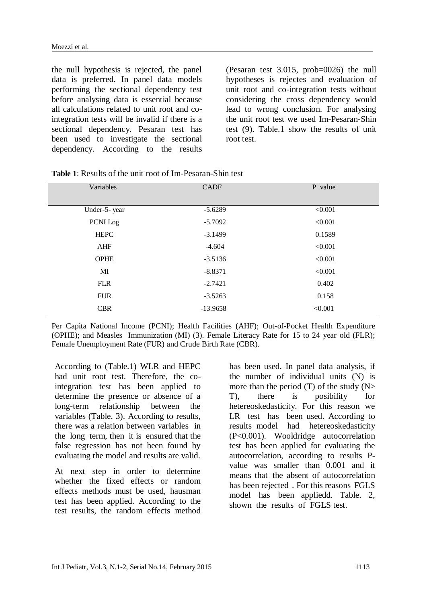the null hypothesis is rejected, the panel data is preferred. In panel data models performing the sectional dependency test before analysing data is essential because all calculations related to unit root and cointegration tests will be invalid if there is a sectional dependency. Pesaran test has been used to investigate the sectional dependency. According to the results

(Pesaran test 3.015, prob=0026) the null hypotheses is rejectes and evaluation of unit root and co-integration tests without considering the cross dependency would lead to wrong conclusion. For analysing the unit root test we used Im-Pesaran-Shin test (9). Table.1 show the results of unit root test.

| Variables    | <b>CADF</b> | P value |
|--------------|-------------|---------|
|              |             |         |
| Under-5-year | $-5.6289$   | < 0.001 |
| PCNI Log     | $-5.7092$   | < 0.001 |
| <b>HEPC</b>  | $-3.1499$   | 0.1589  |
| AHF          | $-4.604$    | < 0.001 |
| <b>OPHE</b>  | $-3.5136$   | < 0.001 |
| MI           | $-8.8371$   | < 0.001 |
| <b>FLR</b>   | $-2.7421$   | 0.402   |
| <b>FUR</b>   | $-3.5263$   | 0.158   |
| <b>CBR</b>   | $-13.9658$  | < 0.001 |
|              |             |         |

**Table 1**: Results of the unit root of Im-Pesaran-Shin test

Per Capita National Income (PCNI); Health Facilities (AHF); Out-of-Pocket Health Expenditure (OPHE); and Measles Immunization (MI) (3). Female Literacy Rate for 15 to 24 year old (FLR); Female Unemployment Rate (FUR) and Crude Birth Rate (CBR).

According to (Table.1) WLR and HEPC had unit root test. Therefore, the cointegration test has been applied to determine the presence or absence of a long-term relationship between the variables (Table. 3). According to results, there was a relation between variables in the long term, then it is ensured that the false regression has not been found by evaluating the model and results are valid.

At next step in order to determine whether the fixed effects or random effects methods must be used, hausman test has been applied. According to the test results, the random effects method has been used. In panel data analysis, if the number of individual units (N) is more than the period  $(T)$  of the study  $(N>$ T), there is posibility for hetereoskedasticity. For this reason we LR test has been used. According to results model had hetereoskedasticity (P<0.001). Wooldridge autocorrelation test has been applied for evaluating the autocorrelation, according to results Pvalue was smaller than 0.001 and it means that the absent of autocorrelation has been rejected . For this reasons FGLS model has been appliedd. Table. 2, shown the results of FGLS test.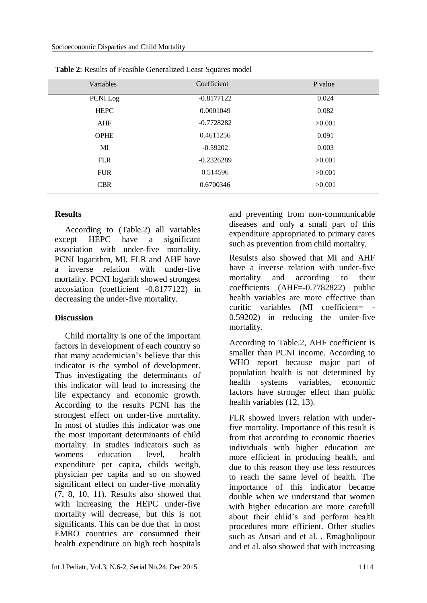| Variables   | Coefficient  | P value |
|-------------|--------------|---------|
| PCNI Log    | $-0.8177122$ | 0.024   |
| <b>HEPC</b> | 0.0001049    | 0.082   |
| <b>AHF</b>  | $-0.7728282$ | >0.001  |
| <b>OPHE</b> | 0.4611256    | 0.091   |
| MI          | $-0.59202$   | 0.003   |
| <b>FLR</b>  | $-0.2326289$ | >0.001  |
| <b>FUR</b>  | 0.514596     | >0.001  |
| <b>CBR</b>  | 0.6700346    | >0.001  |
|             |              |         |

**Table 2**: Results of Feasible Generalized Least Squares model

# **Results**

According to (Table.2) all variables except HEPC have a significant association with under-five mortality. PCNI logarithm, MI, FLR and AHF have a inverse relation with under-five mortality. PCNI logarith showed strongest accosiation (coefficient -0.8177122) in decreasing the under-five mortality.

# **Discussion**

Child mortality is one of the important factors in development of each country so that many academician's believe that this indicator is the symbol of development. Thus investigating the determinants of this indicator will lead to increasing the life expectancy and economic growth. According to the results PCNI has the strongest effect on under-five mortality. In most of studies this indicator was one the most important determinants of child mortality. In studies indicators such as womens education level, health expenditure per capita, childs weitgh, physician per capita and so on showed significant effect on under-five mortality (7, 8, 10, 11). Results also showed that with increasing the HEPC under-five mortality will decrease, but this is not significants. This can be due that in most EMRO countries are consumned their health expenditure on high tech hospitals and preventing from non-communicable diseases and only a small part of this expenditure appropriated to primary cares such as prevention from child mortality.

Resulsts also showed that MI and AHF have a inverse relation with under-five mortality and according to their coefficients (AHF=-0.7782822) public health variables are more effective than curitic variables (MI coefficient= - 0.59202) in reducing the under-five mortality.

According to Table.2, AHF coefficient is smaller than PCNI income. According to WHO report because major part of population health is not determined by health systems variables, economic factors have stronger effect than public health variables (12, 13).

FLR showed invers relation with underfive mortality. Importance of this result is from that according to economic thoeries individuals with higher education are more efficient in producing health, and due to this reason they use less resources to reach the same level of health. The importance of this indicator became double when we understand that women with higher education are more carefull about their chlid's and perform health procedures more efficient. Other studies such as Ansari and et al. , Emagholipour and et al. also showed that with increasing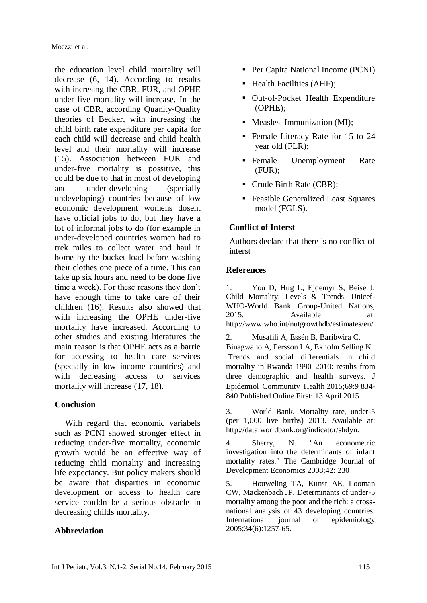the education level child mortality will decrease (6, 14). According to results with incresing the CBR, FUR, and OPHE under-five mortality will increase. In the case of CBR, according Quanity-Quality theories of Becker, with increasing the child birth rate expenditure per capita for each child will decrease and child health level and their mortality will increase (15). Association between FUR and under-five mortality is possitive, this could be due to that in most of developing and under-developing (specially undeveloping) countries because of low economic development womens dosent have official jobs to do, but they have a lot of informal jobs to do (for example in under-developed countries women had to trek miles to collect water and haul it home by the bucket load before washing their clothes one piece of a time. This can take up six hours and need to be done five time a week). For these reasons they don't have enough time to take care of their children (16). Results also showed that with increasing the OPHE under-five mortality have increased. According to other studies and existing literatures the main reason is that OPHE acts as a barrie for accessing to health care services (specially in low income countries) and with decreasing access to services mortality will increase (17, 18).

### **Conclusion**

With regard that economic variabels such as PCNI showed stronger effect in reducing under-five mortality, economic growth would be an effective way of reducing child mortality and increasing life expectancy. But policy makers should be aware that disparties in economic development or access to health care service couldn be a serious obstacle in decreasing childs mortality.

# **Abbreviation**

- Per Capita National Income (PCNI)
- $\blacksquare$  Health Facilities (AHF);
- Out-of-Pocket Health Expenditure (OPHE);
- Measles Immunization (MI);
- Female Literacy Rate for 15 to 24 year old (FLR);
- Female Unemployment Rate (FUR);
- Crude Birth Rate (CBR);
- Feasible Generalized Least Squares model (FGLS).

# **Conflict of Interst**

Authors declare that there is no conflict of interst

### **References**

1. You D, Hug L, Ejdemyr S, Beise J. Child Mortality; Levels & Trends. Unicef-WHO-World Bank Group-United Nations, 2015. Available at: http://www.who.int/nutgrowthdb/estimates/en/

2. Musafili A, Essén B, Baribwira C, Binagwaho A, Persson LA, Ekholm Selling K. Trends and social differentials in child mortality in Rwanda 1990–2010: results from three demographic and health surveys. J Epidemiol Community Health 2015;69:9 834- 840 Published Online First: 13 April 2015

3. World Bank. Mortality rate, under-5 (per 1,000 live births) 2013. Available at: [http://data.worldbank.org/indicator/shdyn.](http://data.worldbank.org/indicator/shdyn)

4. Sherry, N. "An econometric investigation into the determinants of infant mortality rates." The Cambridge Journal of Development Economics 2008;42: 230

5. Houweling TA, Kunst AE, Looman CW, Mackenbach JP. Determinants of under-5 mortality among the poor and the rich: a crossnational analysis of 43 developing countries. International journal of epidemiology 2005;34(6):1257-65.